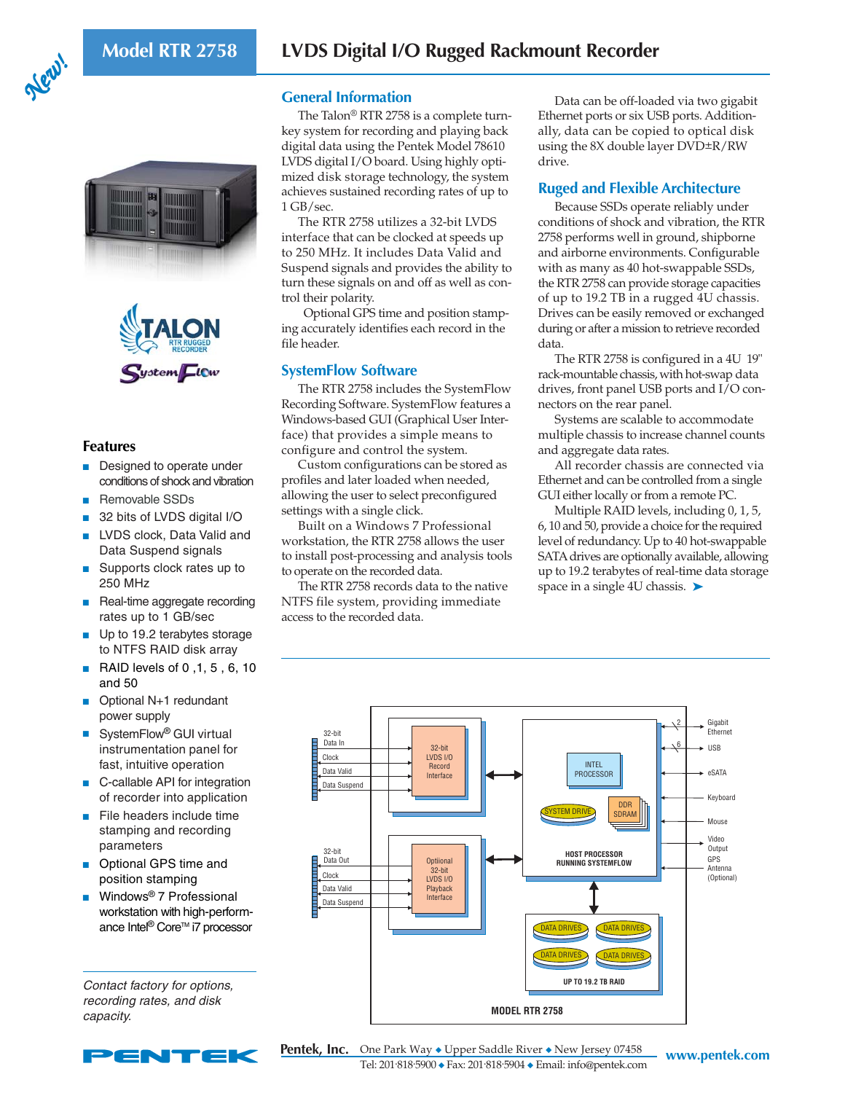





## **Features**

- Designed to operate under conditions of shock and vibration
- Removable SSDs
- 32 bits of LVDS digital I/O
- LVDS clock, Data Valid and Data Suspend signals
- Supports clock rates up to 250 MHz
- Real-time aggregate recording rates up to 1 GB/sec
- Up to 19.2 terabytes storage to NTFS RAID disk array
- RAID levels of 0,1, 5, 6, 10 and 50
- Optional N+1 redundant power supply
- SystemFlow<sup>®</sup> GUI virtual instrumentation panel for fast, intuitive operation
- C-callable API for integration of recorder into application
- File headers include time stamping and recording parameters
- Optional GPS time and position stamping
- Windows<sup>®</sup> 7 Professional workstation with high-performance Intel<sup>®</sup> Core™ i7 processor

Contact factory for options, recording rates, and disk capacity.



### **General Information**

The Talon® RTR 2758 is a complete turnkey system for recording and playing back digital data using the Pentek Model 78610 LVDS digital I/O board. Using highly optimized disk storage technology, the system achieves sustained recording rates of up to 1 GB/sec.

The RTR 2758 utilizes a 32-bit LVDS interface that can be clocked at speeds up to 250 MHz. It includes Data Valid and Suspend signals and provides the ability to turn these signals on and off as well as control their polarity.

 Optional GPS time and position stamping accurately identifies each record in the file header.

## **SystemFlow Software**

The RTR 2758 includes the SystemFlow Recording Software. SystemFlow features a Windows-based GUI (Graphical User Interface) that provides a simple means to configure and control the system.

Custom configurations can be stored as profiles and later loaded when needed, allowing the user to select preconfigured settings with a single click.

Built on a Windows 7 Professional workstation, the RTR 2758 allows the user to install post-processing and analysis tools to operate on the recorded data.

The RTR 2758 records data to the native NTFS file system, providing immediate access to the recorded data.

Data can be off-loaded via two gigabit Ethernet ports or six USB ports. Additionally, data can be copied to optical disk using the 8X double layer DVD±R/RW drive.

# **Ruged and Flexible Architecture**

Because SSDs operate reliably under conditions of shock and vibration, the RTR 2758 performs well in ground, shipborne and airborne environments. Configurable with as many as 40 hot-swappable SSDs, the RTR 2758 can provide storage capacities of up to 19.2 TB in a rugged 4U chassis. Drives can be easily removed or exchanged during or after a mission to retrieve recorded data.

The RTR 2758 is configured in a 4U 19" rack-mountable chassis, with hot-swap data drives, front panel USB ports and I/O connectors on the rear panel.

Systems are scalable to accommodate multiple chassis to increase channel counts and aggregate data rates.

All recorder chassis are connected via Ethernet and can be controlled from a single GUI either locally or from a remote PC.

Multiple RAID levels, including 0, 1, 5, 6, 10 and 50, provide a choice for the required level of redundancy. Up to 40 hot-swappable SATA drives are optionally available, allowing up to 19.2 terabytes of real-time data storage space in a single 4U chassis.  $\blacktriangleright$ 



**Pentek, Inc.** One Park Way ◆ Upper Saddle River ◆ New Jersey 07458 www.pentek.com Tel: 201.818.5900 ◆ Fax: 201.818.5904 ◆ Email: info@pentek.com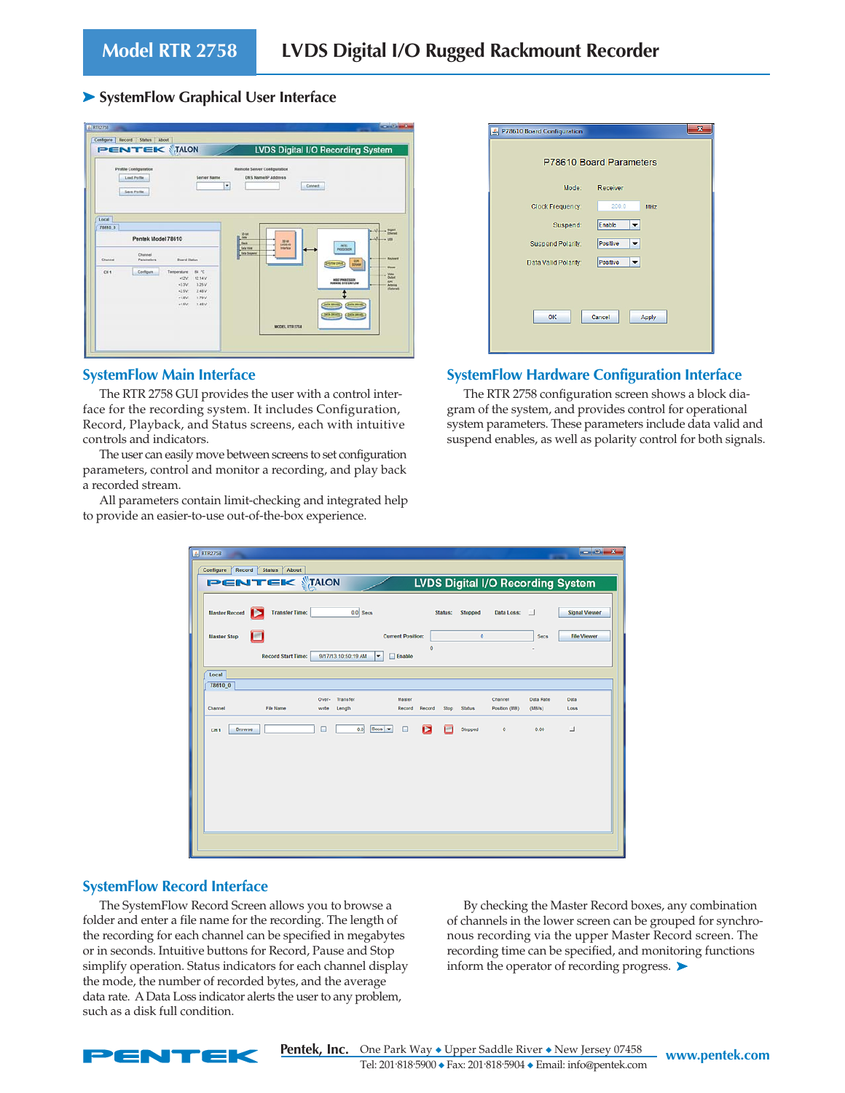### ➤ **SystemFlow Graphical User Interface**

|                  | Profile Configuration<br><b>Load Profile</b><br><b>Save Profile</b> | <b>Server Name</b>                                                                                                                                 | Remote Server Configuration<br>٠                                            | <b>DNS Name/IP Address</b> | Connect                                                                                                                                                                    |                                                                                               |
|------------------|---------------------------------------------------------------------|----------------------------------------------------------------------------------------------------------------------------------------------------|-----------------------------------------------------------------------------|----------------------------|----------------------------------------------------------------------------------------------------------------------------------------------------------------------------|-----------------------------------------------------------------------------------------------|
| Local<br>78510 0 | Pentek Model 78610                                                  |                                                                                                                                                    | $25-4$<br><b>E</b> Date<br><b>Cast</b><br>Data Value<br><b>Data Systems</b> | 20 Mit<br><b>Interface</b> | <b>ATEL</b><br>PROGRESSION                                                                                                                                                 | $+$ Spitt <sub>um</sub><br>$-1008$                                                            |
| Channel<br>Cit   | Channel<br>Parameters<br>Configure                                  | <b>Board Status</b><br>84 °C<br>Tamperature<br>12.14 V<br>$+12V$<br>3.25V<br>$+3.3V$<br>2.48 V<br>$-2.5V$<br>1.79V<br>$+1.0V$<br>$+1.5V$<br>1.48 V |                                                                             |                            | <b>EDR</b><br><b>DYLIN DAVE</b><br>HOST PROCESSOR<br><b>HUMMING SYSTEMS</b> , OW<br><b>DATA DRIVER</b><br><b>DISK DRIVES</b><br><b>Conta DATATE</b><br><b>CRATK DRIVES</b> | <b><i><u>Reviewed</u></i></b><br><b>Mayer</b><br>Vous<br>Output<br>ors.<br>Annual<br>Illinoon |

#### **SystemFlow Main Interface**

The RTR 2758 GUI provides the user with a control interface for the recording system. It includes Configuration, Record, Playback, and Status screens, each with intuitive controls and indicators.

The user can easily move between screens to set configuration parameters, control and monitor a recording, and play back a recorded stream.

All parameters contain limit-checking and integrated help to provide an easier-to-use out-of-the-box experience.

| 8 P78610 Board Configuration | $\boldsymbol{\mathsf{x}}$ |
|------------------------------|---------------------------|
|                              | P78610 Board Parameters   |
| Mode:                        | Receiver                  |
| <b>Clock Frequency:</b>      | 200.0<br>MHz              |
| Suspend:                     | Enable                    |
| <b>Suspend Polarity:</b>     | <b>Positive</b>           |
| Data Valid Polarity:         | <b>Positive</b><br>▼      |
|                              |                           |
|                              |                           |
| OK                           | Cancel<br>Apply           |
|                              |                           |

### **SystemFlow Hardware Configuration Interface**

The RTR 2758 configuration screen shows a block diagram of the system, and provides control for operational system parameters. These parameters include data valid and suspend enables, as well as polarity control for both signals.

| <b>A.</b> RTR2758                                                     |                                                                 |                                                          | $-0-x$                                      |
|-----------------------------------------------------------------------|-----------------------------------------------------------------|----------------------------------------------------------|---------------------------------------------|
| Record<br>About<br>Configure<br><b>Status</b><br><b>PENTEK MIALON</b> |                                                                 |                                                          | <b>LVDS Digital I/O Recording System</b>    |
|                                                                       |                                                                 |                                                          |                                             |
| <b>Master Record</b><br><b>Transfer Time:</b><br>ь                    | $0.0$ Secs                                                      | Data Loss:<br>Stopped<br>Status:                         | <b>Signal Viewer</b><br>- 11                |
| ıн<br><b>Master Stop</b>                                              | <b>Current Position:</b>                                        | $\bullet$                                                | <b>File Viewer</b><br>Secs                  |
| <b>Record Start Time:</b>                                             | 9/17/13 10:50:19 AM<br>×<br>$B$ Enable                          | $\ddot{\phantom{0}}$                                     |                                             |
| Local                                                                 |                                                                 |                                                          |                                             |
| 78610 0                                                               |                                                                 |                                                          |                                             |
| File Name<br>Channel                                                  | Transfer<br>Master<br>Over-<br>Record Record<br>write<br>Length | Channel<br><b>Status</b><br>Position (MB)<br><b>Stop</b> | <b>Data Rate</b><br>Data<br>(11B/s)<br>Loss |
| <b>Browse</b><br>CH <sub>1</sub>                                      | Π<br>$Secs$ $\rightarrow$<br>0.0<br>□<br>ь                      | Stopped<br>$\bullet$                                     | 0.00<br>⊔                                   |
|                                                                       |                                                                 |                                                          |                                             |
|                                                                       |                                                                 |                                                          |                                             |
|                                                                       |                                                                 |                                                          |                                             |
|                                                                       |                                                                 |                                                          |                                             |
|                                                                       |                                                                 |                                                          |                                             |
|                                                                       |                                                                 |                                                          |                                             |
|                                                                       |                                                                 |                                                          |                                             |

### **SystemFlow Record Interface**

The SystemFlow Record Screen allows you to browse a folder and enter a file name for the recording. The length of the recording for each channel can be specified in megabytes or in seconds. Intuitive buttons for Record, Pause and Stop simplify operation. Status indicators for each channel display the mode, the number of recorded bytes, and the average data rate. A Data Loss indicator alerts the user to any problem, such as a disk full condition.

By checking the Master Record boxes, any combination of channels in the lower screen can be grouped for synchronous recording via the upper Master Record screen. The recording time can be specified, and monitoring functions inform the operator of recording progress. ➤



**Pentek, Inc.** One Park Way ◆ Upper Saddle River ◆ New Jersey 07458 www.pentek.com Tel: 201.818.5900 ◆ Fax: 201.818.5904 ◆ Email: info@pentek.com